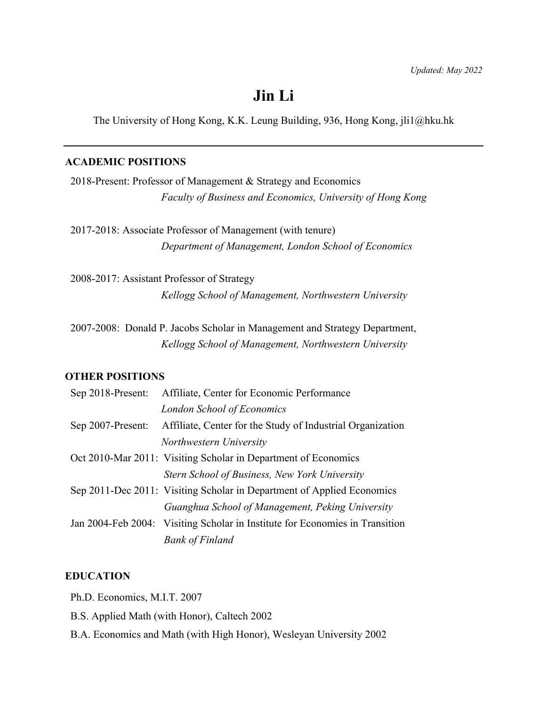# **Jin Li**

The University of Hong Kong, K.K. Leung Building, 936, Hong Kong, jli1@hku.hk

#### **ACADEMIC POSITIONS**

2018-Present: Professor of Management & Strategy and Economics *Faculty of Business and Economics, University of Hong Kong*

 2017-2018: Associate Professor of Management (with tenure) *Department of Management, London School of Economics*

 2008-2017: Assistant Professor of Strategy *Kellogg School of Management, Northwestern University*

 2007-2008: Donald P. Jacobs Scholar in Management and Strategy Department, *Kellogg School of Management, Northwestern University*

#### **OTHER POSITIONS**

| Sep 2018-Present: | Affiliate, Center for Economic Performance                                   |
|-------------------|------------------------------------------------------------------------------|
|                   | London School of Economics                                                   |
| Sep 2007-Present: | Affiliate, Center for the Study of Industrial Organization                   |
|                   | Northwestern University                                                      |
|                   | Oct 2010-Mar 2011: Visiting Scholar in Department of Economics               |
|                   | Stern School of Business, New York University                                |
|                   | Sep 2011-Dec 2011: Visiting Scholar in Department of Applied Economics       |
|                   | Guanghua School of Management, Peking University                             |
|                   | Jan 2004-Feb 2004: Visiting Scholar in Institute for Economies in Transition |
|                   | <b>Bank of Finland</b>                                                       |

#### **EDUCATION**

Ph.D. Economics, M.I.T. 2007

- B.S. Applied Math (with Honor), Caltech 2002
- B.A. Economics and Math (with High Honor), Wesleyan University 2002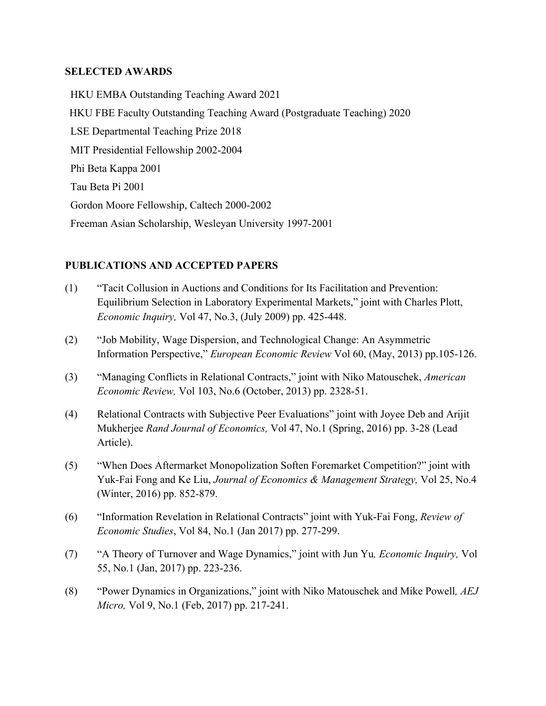### **SELECTED AWARDS**

HKU EMBA Outstanding Teaching Award 2021 HKU FBE Faculty Outstanding Teaching Award (Postgraduate Teaching) 2020 LSE Departmental Teaching Prize 2018 MIT Presidential Fellowship 2002-2004 Phi Beta Kappa 2001 Tau Beta Pi 2001 Gordon Moore Fellowship, Caltech 2000-2002 Freeman Asian Scholarship, Wesleyan University 1997-2001

## **PUBLICATIONS AND ACCEPTED PAPERS**

- (1) "Tacit Collusion in Auctions and Conditions for Its Facilitation and Prevention: Equilibrium Selection in Laboratory Experimental Markets," joint with Charles Plott, *Economic Inquiry,* Vol 47, No.3, (July 2009) pp. 425-448.
- (2) "Job Mobility, Wage Dispersion, and Technological Change: An Asymmetric Information Perspective," *European Economic Review* Vol 60, (May, 2013) pp.105-126.
- (3) "Managing Conflicts in Relational Contracts," joint with Niko Matouschek, *American Economic Review,* Vol 103, No.6 (October, 2013) pp. 2328-51.
- (4) Relational Contracts with Subjective Peer Evaluations" joint with Joyee Deb and Arijit Mukherjee *Rand Journal of Economics,* Vol 47, No.1 (Spring, 2016) pp. 3-28 (Lead Article).
- (5) "When Does Aftermarket Monopolization Soften Foremarket Competition?" joint with Yuk-Fai Fong and Ke Liu, *Journal of Economics & Management Strategy,* Vol 25, No.4 (Winter, 2016) pp. 852-879.
- (6) "Information Revelation in Relational Contracts" joint with Yuk-Fai Fong, *Review of Economic Studies*, Vol 84, No.1 (Jan 2017) pp. 277-299.
- (7) "A Theory of Turnover and Wage Dynamics," joint with Jun Yu*, Economic Inquiry,* Vol 55, No.1 (Jan, 2017) pp. 223-236.
- (8) "Power Dynamics in Organizations," joint with Niko Matouschek and Mike Powell*, AEJ Micro,* Vol 9, No.1 (Feb, 2017) pp. 217-241.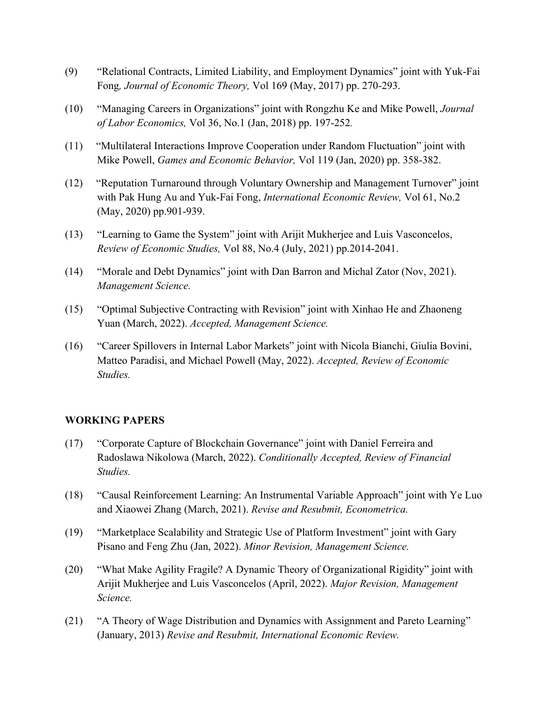- (9) "Relational Contracts, Limited Liability, and Employment Dynamics" joint with Yuk-Fai Fong*, Journal of Economic Theory,* Vol 169 (May, 2017) pp. 270-293.
- (10) "Managing Careers in Organizations" joint with Rongzhu Ke and Mike Powell, *Journal of Labor Economics,* Vol 36, No.1 (Jan, 2018) pp. 197-252*.*
- (11) "Multilateral Interactions Improve Cooperation under Random Fluctuation" joint with Mike Powell, *Games and Economic Behavior,* Vol 119 (Jan, 2020) pp. 358-382.
- (12) "Reputation Turnaround through Voluntary Ownership and Management Turnover" joint with Pak Hung Au and Yuk-Fai Fong, *International Economic Review,* Vol 61, No.2 (May, 2020) pp.901-939.
- (13) "Learning to Game the System" joint with Arijit Mukherjee and Luis Vasconcelos, *Review of Economic Studies,* Vol 88, No.4 (July, 2021) pp.2014-2041.
- (14) "Morale and Debt Dynamics" joint with Dan Barron and Michal Zator (Nov, 2021). *Management Science.*
- (15) "Optimal Subjective Contracting with Revision" joint with Xinhao He and Zhaoneng Yuan (March, 2022). *Accepted, Management Science.*
- (16) "Career Spillovers in Internal Labor Markets" joint with Nicola Bianchi, Giulia Bovini, Matteo Paradisi, and Michael Powell (May, 2022). *Accepted, Review of Economic Studies.*

#### **WORKING PAPERS**

- (17) "Corporate Capture of Blockchain Governance" joint with Daniel Ferreira and Radoslawa Nikolowa (March, 2022). *Conditionally Accepted, Review of Financial Studies.*
- (18) "Causal Reinforcement Learning: An Instrumental Variable Approach" joint with Ye Luo and Xiaowei Zhang (March, 2021). *Revise and Resubmit, Econometrica.*
- (19) "Marketplace Scalability and Strategic Use of Platform Investment" joint with Gary Pisano and Feng Zhu (Jan, 2022). *Minor Revision, Management Science.*
- (20) "What Make Agility Fragile? A Dynamic Theory of Organizational Rigidity" joint with Arijit Mukherjee and Luis Vasconcelos (April, 2022). *Major Revision, Management Science.*
- (21) "A Theory of Wage Distribution and Dynamics with Assignment and Pareto Learning" (January, 2013) *Revise and Resubmit, International Economic Review.*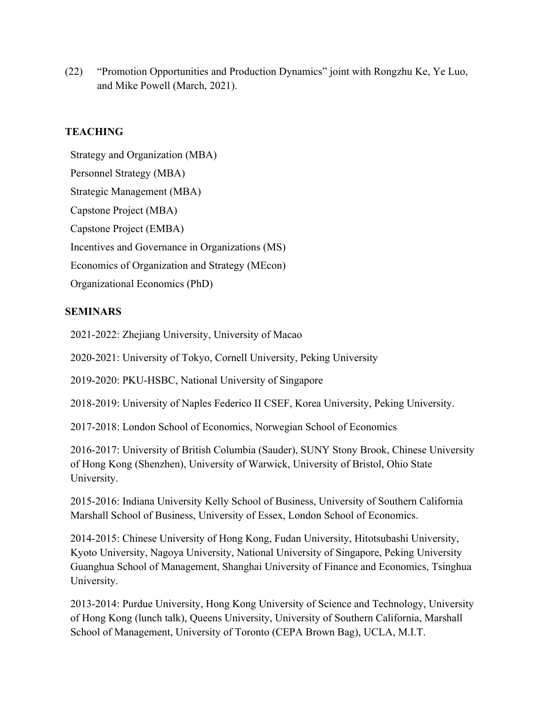(22) "Promotion Opportunities and Production Dynamics" joint with Rongzhu Ke, Ye Luo, and Mike Powell (March, 2021).

## **TEACHING**

 Strategy and Organization (MBA) Personnel Strategy (MBA) Strategic Management (MBA) Capstone Project (MBA) Capstone Project (EMBA) Incentives and Governance in Organizations (MS) Economics of Organization and Strategy (MEcon) Organizational Economics (PhD)

## **SEMINARS**

2021-2022: Zhejiang University, University of Macao

2020-2021: University of Tokyo, Cornell University, Peking University

2019-2020: PKU-HSBC, National University of Singapore

2018-2019: University of Naples Federico II CSEF, Korea University, Peking University.

2017-2018: London School of Economics, Norwegian School of Economics

2016-2017: University of British Columbia (Sauder), SUNY Stony Brook, Chinese University of Hong Kong (Shenzhen), University of Warwick, University of Bristol, Ohio State University.

2015-2016: Indiana University Kelly School of Business, University of Southern California Marshall School of Business, University of Essex, London School of Economics.

2014-2015: Chinese University of Hong Kong, Fudan University, Hitotsubashi University, Kyoto University, Nagoya University, National University of Singapore, Peking University Guanghua School of Management, Shanghai University of Finance and Economics, Tsinghua University.

2013-2014: Purdue University, Hong Kong University of Science and Technology, University of Hong Kong (lunch talk), Queens University, University of Southern California, Marshall School of Management, University of Toronto (CEPA Brown Bag), UCLA, M.I.T.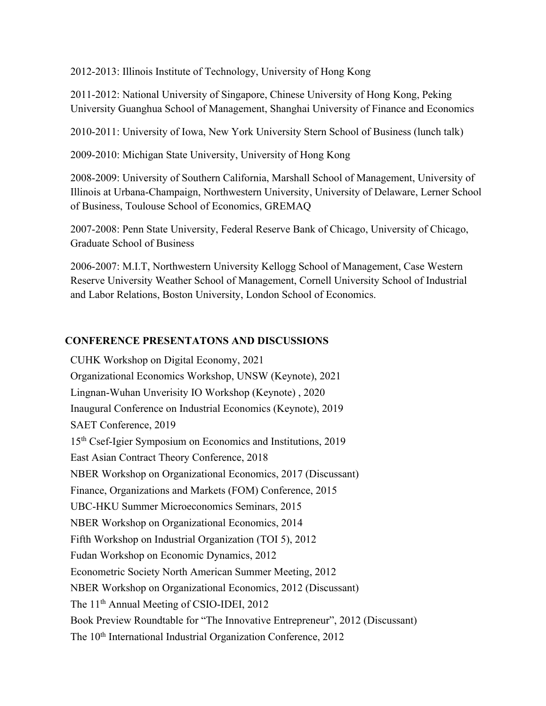2012-2013: Illinois Institute of Technology, University of Hong Kong

2011-2012: National University of Singapore, Chinese University of Hong Kong, Peking University Guanghua School of Management, Shanghai University of Finance and Economics

2010-2011: University of Iowa, New York University Stern School of Business (lunch talk)

2009-2010: Michigan State University, University of Hong Kong

2008-2009: University of Southern California, Marshall School of Management, University of Illinois at Urbana-Champaign, Northwestern University, University of Delaware, Lerner School of Business, Toulouse School of Economics, GREMAQ

2007-2008: Penn State University, Federal Reserve Bank of Chicago, University of Chicago, Graduate School of Business

2006-2007: M.I.T, Northwestern University Kellogg School of Management, Case Western Reserve University Weather School of Management, Cornell University School of Industrial and Labor Relations, Boston University, London School of Economics.

## **CONFERENCE PRESENTATONS AND DISCUSSIONS**

CUHK Workshop on Digital Economy, 2021 Organizational Economics Workshop, UNSW (Keynote), 2021 Lingnan-Wuhan Unverisity IO Workshop (Keynote) , 2020 Inaugural Conference on Industrial Economics (Keynote), 2019 SAET Conference, 2019 15th Csef-Igier Symposium on Economics and Institutions, 2019 East Asian Contract Theory Conference, 2018 NBER Workshop on Organizational Economics, 2017 (Discussant) Finance, Organizations and Markets (FOM) Conference, 2015 UBC-HKU Summer Microeconomics Seminars, 2015 NBER Workshop on Organizational Economics, 2014 Fifth Workshop on Industrial Organization (TOI 5), 2012 Fudan Workshop on Economic Dynamics, 2012 Econometric Society North American Summer Meeting, 2012 NBER Workshop on Organizational Economics, 2012 (Discussant) The 11<sup>th</sup> Annual Meeting of CSIO-IDEI, 2012 Book Preview Roundtable for "The Innovative Entrepreneur", 2012 (Discussant) The 10<sup>th</sup> International Industrial Organization Conference, 2012